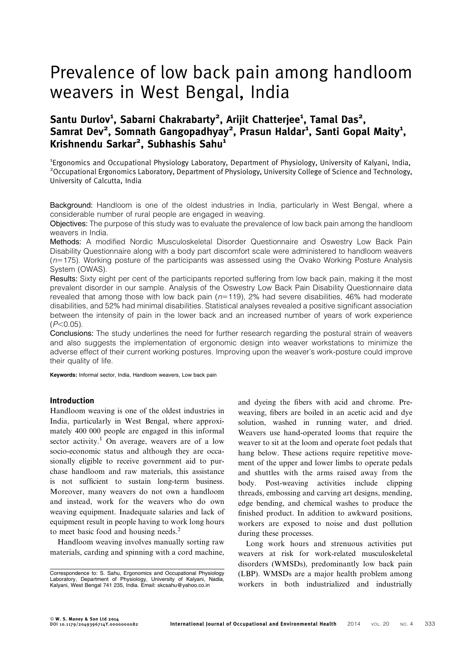# Prevalence of low back pain among handloom weavers in West Bengal, India

# Santu Durlov<sup>1</sup>, Sabarni Chakrabarty<sup>2</sup>, Arijit Chatterjee<sup>1</sup>, Tamal Das<sup>2</sup>, Samrat Dev<sup>2</sup>, Somnath Gangopadhyay<sup>2</sup>, Prasun Haldar<sup>1</sup>, Santi Gopal Maity<sup>1</sup>, Krishnendu Sarkar<sup>2</sup>, Subhashis Sahu<sup>1</sup>

<sup>1</sup>Ergonomics and Occupational Physiology Laboratory, Department of Physiology, University of Kalyani, India, 2 Occupational Ergonomics Laboratory, Department of Physiology, University College of Science and Technology, University of Calcutta, India

Background: Handloom is one of the oldest industries in India, particularly in West Bengal, where a considerable number of rural people are engaged in weaving.

Objectives: The purpose of this study was to evaluate the prevalence of low back pain among the handloom weavers in India.

Methods: A modified Nordic Musculoskeletal Disorder Questionnaire and Oswestry Low Back Pain Disability Questionnaire along with a body part discomfort scale were administered to handloom weavers  $(n=175)$ . Working posture of the participants was assessed using the Ovako Working Posture Analysis System (OWAS).

Results: Sixty eight per cent of the participants reported suffering from low back pain, making it the most prevalent disorder in our sample. Analysis of the Oswestry Low Back Pain Disability Questionnaire data revealed that among those with low back pain ( $n=119$ ), 2% had severe disabilities, 46% had moderate disabilities, and 52% had minimal disabilities. Statistical analyses revealed a positive significant association between the intensity of pain in the lower back and an increased number of years of work experience  $(P<0.05)$ .

Conclusions: The study underlines the need for further research regarding the postural strain of weavers and also suggests the implementation of ergonomic design into weaver workstations to minimize the adverse effect of their current working postures. Improving upon the weaver's work-posture could improve their quality of life.

Keywords: Informal sector, India, Handloom weavers, Low back pain

# Introduction

Handloom weaving is one of the oldest industries in India, particularly in West Bengal, where approximately 400 000 people are engaged in this informal sector activity.<sup>1</sup> On average, weavers are of a low socio-economic status and although they are occasionally eligible to receive government aid to purchase handloom and raw materials, this assistance is not sufficient to sustain long-term business. Moreover, many weavers do not own a handloom and instead, work for the weavers who do own weaving equipment. Inadequate salaries and lack of equipment result in people having to work long hours to meet basic food and housing needs.<sup>2</sup>

Handloom weaving involves manually sorting raw materials, carding and spinning with a cord machine, and dyeing the fibers with acid and chrome. Preweaving, fibers are boiled in an acetic acid and dye solution, washed in running water, and dried. Weavers use hand-operated looms that require the weaver to sit at the loom and operate foot pedals that hang below. These actions require repetitive movement of the upper and lower limbs to operate pedals and shuttles with the arms raised away from the body. Post-weaving activities include clipping threads, embossing and carving art designs, mending, edge bending, and chemical washes to produce the finished product. In addition to awkward positions, workers are exposed to noise and dust pollution during these processes.

Long work hours and strenuous activities put weavers at risk for work-related musculoskeletal disorders (WMSDs), predominantly low back pain (LBP). WMSDs are a major health problem among workers in both industrialized and industrially

Correspondence to: S. Sahu, Ergonomics and Occupational Physiology Laboratory, Department of Physiology, University of Kalyani, Nadia, Kalyani, West Bengal 741 235, India. Email: skcsahu@yahoo.co.in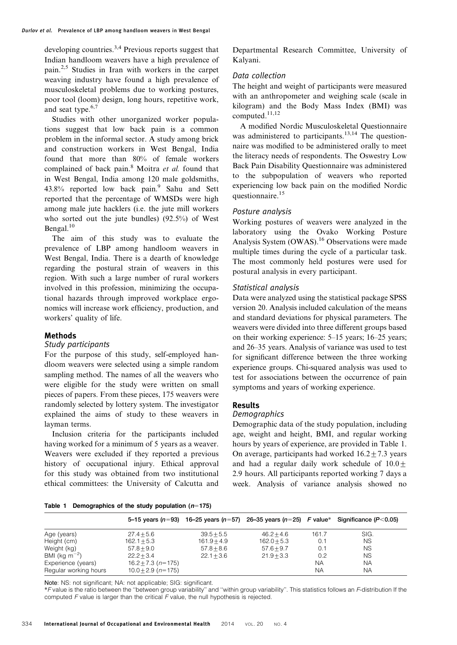developing countries.<sup>3,4</sup> Previous reports suggest that Indian handloom weavers have a high prevalence of pain.2,5 Studies in Iran with workers in the carpet weaving industry have found a high prevalence of musculoskeletal problems due to working postures, poor tool (loom) design, long hours, repetitive work, and seat type. $6,7$ 

Studies with other unorganized worker populations suggest that low back pain is a common problem in the informal sector. A study among brick and construction workers in West Bengal, India found that more than 80% of female workers complained of back pain.<sup>8</sup> Moitra et al. found that in West Bengal, India among 120 male goldsmiths, 43.8% reported low back pain.9 Sahu and Sett reported that the percentage of WMSDs were high among male jute hacklers (i.e. the jute mill workers who sorted out the jute bundles) (92.5%) of West Bengal.<sup>10</sup>

The aim of this study was to evaluate the prevalence of LBP among handloom weavers in West Bengal, India. There is a dearth of knowledge regarding the postural strain of weavers in this region. With such a large number of rural workers involved in this profession, minimizing the occupational hazards through improved workplace ergonomics will increase work efficiency, production, and workers' quality of life.

# **Methods**

#### Study participants

For the purpose of this study, self-employed handloom weavers were selected using a simple random sampling method. The names of all the weavers who were eligible for the study were written on small pieces of papers. From these pieces, 175 weavers were randomly selected by lottery system. The investigator explained the aims of study to these weavers in layman terms.

Inclusion criteria for the participants included having worked for a minimum of 5 years as a weaver. Weavers were excluded if they reported a previous history of occupational injury. Ethical approval for this study was obtained from two institutional ethical committees: the University of Calcutta and

Departmental Research Committee, University of Kalyani.

#### Data collection

The height and weight of participants were measured with an anthropometer and weighing scale (scale in kilogram) and the Body Mass Index (BMI) was computed.<sup>11,12</sup>

A modified Nordic Musculoskeletal Questionnaire was administered to participants.<sup>13,14</sup> The questionnaire was modified to be administered orally to meet the literacy needs of respondents. The Oswestry Low Back Pain Disability Questionnaire was administered to the subpopulation of weavers who reported experiencing low back pain on the modified Nordic questionnaire.<sup>15</sup>

### Posture analysis

Working postures of weavers were analyzed in the laboratory using the Ovako Working Posture Analysis System (OWAS).<sup>16</sup> Observations were made multiple times during the cycle of a particular task. The most commonly held postures were used for postural analysis in every participant.

#### Statistical analysis

Data were analyzed using the statistical package SPSS version 20. Analysis included calculation of the means and standard deviations for physical parameters. The weavers were divided into three different groups based on their working experience: 5–15 years; 16–25 years; and 26–35 years. Analysis of variance was used to test for significant difference between the three working experience groups. Chi-squared analysis was used to test for associations between the occurrence of pain symptoms and years of working experience.

## Results

# Demographics

Demographic data of the study population, including age, weight and height, BMI, and regular working hours by years of experience, are provided in Table 1. On average, participants had worked  $16.2 \pm 7.3$  years and had a regular daily work schedule of  $10.0 \pm$ 2.9 hours. All participants reported working 7 days a week. Analysis of variance analysis showed no

Table 1 Demographics of the study population  $(n=175)$ 

|                       |                      |               |               |           | 5-15 years ( $n=93$ ) 16-25 years ( $n=57$ ) 26-35 years ( $n=25$ ) F value* Significance ( $P < 0.05$ ) |
|-----------------------|----------------------|---------------|---------------|-----------|----------------------------------------------------------------------------------------------------------|
| Age (years)           | $27.4 + 5.6$         | $39.5 + 5.5$  | $46.2 + 4.6$  | 161.7     | SIG.                                                                                                     |
| Height (cm)           | $162.1 + 5.3$        | $161.9 + 4.9$ | $162.0 + 5.3$ | 0.1       | <b>NS</b>                                                                                                |
| Weight (kg)           | $57.8 + 9.0$         | $57.8 + 8.6$  | $57.6 + 9.7$  | 0.1       | <b>NS</b>                                                                                                |
| BMI (kg $m^{-2}$ )    | $22.2 + 3.4$         | $22.1 + 3.6$  | $21.9 + 3.3$  | 0.2       | <b>NS</b>                                                                                                |
| Experience (years)    | $16.2 + 7.3$ (n=175) |               |               | <b>NA</b> | <b>NA</b>                                                                                                |
| Regular working hours | $10.0 + 2.9$ (n=175) |               |               | <b>NA</b> | <b>NA</b>                                                                                                |

Note: NS: not significant; NA: not applicable; SIG: significant.

\*F value is the ratio between the ''between group variability'' and ''within group variability''. This statistics follows an F-distribution If the computed  $F$  value is larger than the critical  $F$  value, the null hypothesis is rejected.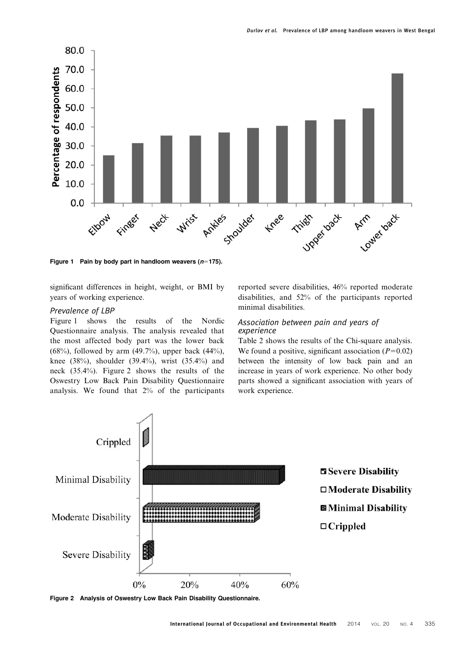

Figure 1 Pain by body part in handloom weavers  $(n=175)$ .

significant differences in height, weight, or BMI by years of working experience.

# Prevalence of LBP

Figure 1 shows the results of the Nordic Questionnaire analysis. The analysis revealed that the most affected body part was the lower back (68%), followed by arm (49.7%), upper back (44%), knee (38%), shoulder (39.4%), wrist (35.4%) and neck (35.4%). Figure 2 shows the results of the Oswestry Low Back Pain Disability Questionnaire analysis. We found that 2% of the participants reported severe disabilities, 46% reported moderate disabilities, and 52% of the participants reported minimal disabilities.

## Association between pain and years of experience

Table 2 shows the results of the Chi-square analysis. We found a positive, significant association  $(P=0.02)$ between the intensity of low back pain and an increase in years of work experience. No other body parts showed a significant association with years of work experience.



Figure 2 Analysis of Oswestry Low Back Pain Disability Questionnaire.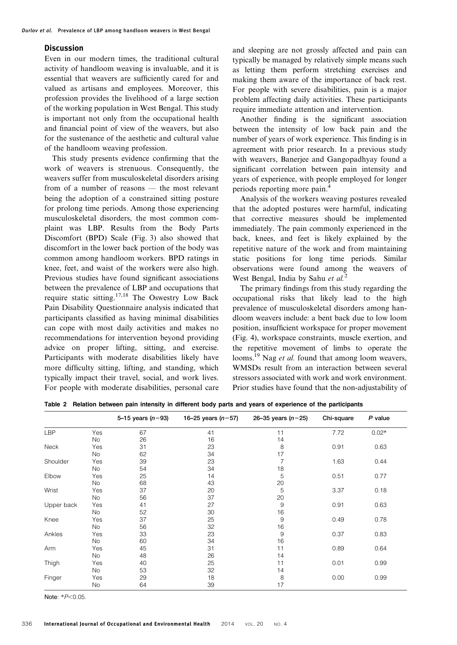#### **Discussion**

Even in our modern times, the traditional cultural activity of handloom weaving is invaluable, and it is essential that weavers are sufficiently cared for and valued as artisans and employees. Moreover, this profession provides the livelihood of a large section of the working population in West Bengal. This study is important not only from the occupational health and financial point of view of the weavers, but also for the sustenance of the aesthetic and cultural value of the handloom weaving profession.

This study presents evidence confirming that the work of weavers is strenuous. Consequently, the weavers suffer from musculoskeletal disorders arising from of a number of reasons — the most relevant being the adoption of a constrained sitting posture for prolong time periods. Among those experiencing musculoskeletal disorders, the most common complaint was LBP. Results from the Body Parts Discomfort (BPD) Scale (Fig. 3) also showed that discomfort in the lower back portion of the body was common among handloom workers. BPD ratings in knee, feet, and waist of the workers were also high. Previous studies have found significant associations between the prevalence of LBP and occupations that require static sitting.17,18 The Oswestry Low Back Pain Disability Questionnaire analysis indicated that participants classified as having minimal disabilities can cope with most daily activities and makes no recommendations for intervention beyond providing advice on proper lifting, sitting, and exercise. Participants with moderate disabilities likely have more difficulty sitting, lifting, and standing, which typically impact their travel, social, and work lives. For people with moderate disabilities, personal care

and sleeping are not grossly affected and pain can typically be managed by relatively simple means such as letting them perform stretching exercises and making them aware of the importance of back rest. For people with severe disabilities, pain is a major problem affecting daily activities. These participants require immediate attention and intervention.

Another finding is the significant association between the intensity of low back pain and the number of years of work experience. This finding is in agreement with prior research. In a previous study with weavers, Banerjee and Gangopadhyay found a significant correlation between pain intensity and years of experience, with people employed for longer periods reporting more pain.<sup>4</sup>

Analysis of the workers weaving postures revealed that the adopted postures were harmful, indicating that corrective measures should be implemented immediately. The pain commonly experienced in the back, knees, and feet is likely explained by the repetitive nature of the work and from maintaining static positions for long time periods. Similar observations were found among the weavers of West Bengal, India by Sahu et al.<sup>2</sup>

The primary findings from this study regarding the occupational risks that likely lead to the high prevalence of musculoskeletal disorders among handloom weavers include: a bent back due to low loom position, insufficient workspace for proper movement (Fig. 4), workspace constraints, muscle exertion, and the repetitive movement of limbs to operate the looms.<sup>19</sup> Nag *et al.* found that among loom weavers, WMSDs result from an interaction between several stressors associated with work and work environment. Prior studies have found that the non-adjustability of

|  | Table 2 Relation between pain intensity in different body parts and years of experience of the participants |  |  |  |  |  |  |
|--|-------------------------------------------------------------------------------------------------------------|--|--|--|--|--|--|
|--|-------------------------------------------------------------------------------------------------------------|--|--|--|--|--|--|

|            |           | 5–15 years $(n=93)$ | 16–25 years ( $n=57$ ) | 26-35 years ( $n=25$ ) | Chi-square | P value |
|------------|-----------|---------------------|------------------------|------------------------|------------|---------|
| <b>LBP</b> | Yes       | 67                  | 41                     | 11                     | 7.72       | $0.02*$ |
|            | <b>No</b> | 26                  | 16                     | 14                     |            |         |
| Neck       | Yes       | 31                  | 23                     | 8                      | 0.91       | 0.63    |
|            | <b>No</b> | 62                  | 34                     | 17                     |            |         |
| Shoulder   | Yes       | 39                  | 23                     | 7                      | 1.63       | 0.44    |
|            | <b>No</b> | 54                  | 34                     | 18                     |            |         |
| Elbow      | Yes       | 25                  | 14                     | 5                      | 0.51       | 0.77    |
|            | <b>No</b> | 68                  | 43                     | 20                     |            |         |
| Wrist      | Yes       | 37                  | 20                     | 5                      | 3.37       | 0.18    |
|            | No        | 56                  | 37                     | 20                     |            |         |
| Upper back | Yes       | 41                  | 27                     | 9                      | 0.91       | 0.63    |
|            | No        | 52                  | 30                     | 16                     |            |         |
| Knee       | Yes       | 37                  | 25                     | 9                      | 0.49       | 0.78    |
|            | No        | 56                  | 32                     | 16                     |            |         |
| Ankles     | Yes       | 33                  | 23                     | 9                      | 0.37       | 0.83    |
|            | <b>No</b> | 60                  | 34                     | 16                     |            |         |
| Arm        | Yes       | 45                  | 31                     | 11                     | 0.89       | 0.64    |
|            | <b>No</b> | 48                  | 26                     | 14                     |            |         |
| Thigh      | Yes       | 40                  | 25                     | 11                     | 0.01       | 0.99    |
|            | <b>No</b> | 53                  | 32                     | 14                     |            |         |
| Finger     | Yes       | 29                  | 18                     | 8                      | 0.00       | 0.99    |
|            | No        | 64                  | 39                     | 17                     |            |         |

Note:  $*P<0.05$ .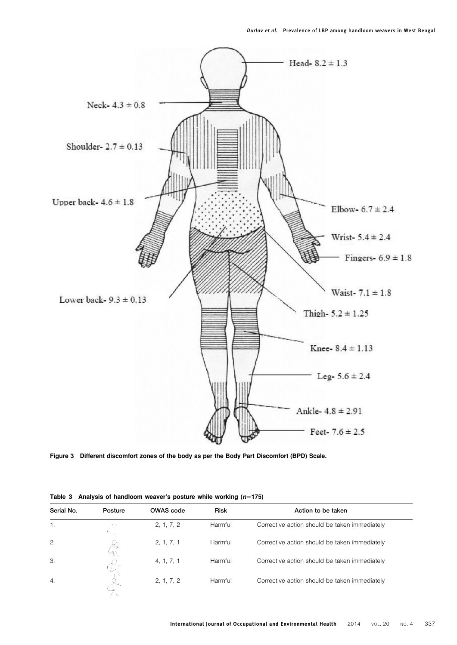

Figure 3 Different discomfort zones of the body as per the Body Part Discomfort (BPD) Scale.

| Serial No. | Posture | <b>OWAS</b> code | <b>Risk</b> | Action to be taken                            |
|------------|---------|------------------|-------------|-----------------------------------------------|
| 1.         | 25      | 2, 1, 7, 2       | Harmful     | Corrective action should be taken immediately |
| 2.         |         | 2, 1, 7, 1       | Harmful     | Corrective action should be taken immediately |
| 3.         | Ê       | 4, 1, 7, 1       | Harmful     | Corrective action should be taken immediately |
| 4.         |         | 2, 1, 7, 2       | Harmful     | Corrective action should be taken immediately |

Table 3 Analysis of handloom weaver's posture while working  $(n=175)$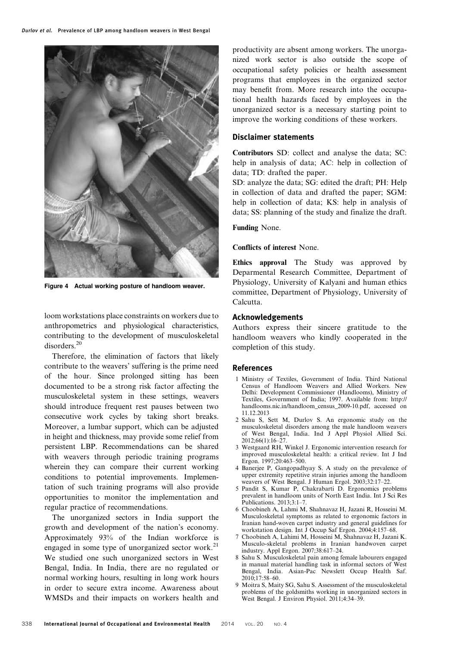

Figure 4 Actual working posture of handloom weaver.

loom workstations place constraints on workers due to anthropometrics and physiological characteristics, contributing to the development of musculoskeletal disorders.<sup>20</sup>

Therefore, the elimination of factors that likely contribute to the weavers' suffering is the prime need of the hour. Since prolonged sitting has been documented to be a strong risk factor affecting the musculoskeletal system in these settings, weavers should introduce frequent rest pauses between two consecutive work cycles by taking short breaks. Moreover, a lumbar support, which can be adjusted in height and thickness, may provide some relief from persistent LBP. Recommendations can be shared with weavers through periodic training programs wherein they can compare their current working conditions to potential improvements. Implementation of such training programs will also provide opportunities to monitor the implementation and regular practice of recommendations.

The unorganized sectors in India support the growth and development of the nation's economy. Approximately 93% of the Indian workforce is engaged in some type of unorganized sector work.<sup>21</sup> We studied one such unorganized sectors in West Bengal, India. In India, there are no regulated or normal working hours, resulting in long work hours in order to secure extra income. Awareness about WMSDs and their impacts on workers health and

productivity are absent among workers. The unorganized work sector is also outside the scope of occupational safety policies or health assessment programs that employees in the organized sector may benefit from. More research into the occupational health hazards faced by employees in the unorganized sector is a necessary starting point to improve the working conditions of these workers.

#### Disclaimer statements

Contributors SD: collect and analyse the data; SC: help in analysis of data; AC: help in collection of data; TD: drafted the paper.

SD: analyze the data; SG: edited the draft; PH: Help in collection of data and drafted the paper; SGM: help in collection of data; KS: help in analysis of data; SS: planning of the study and finalize the draft.

Funding None.

#### Conflicts of interest None.

Ethics approval The Study was approved by Deparmental Research Committee, Department of Physiology, University of Kalyani and human ethics committee, Department of Physiology, University of Calcutta.

#### Acknowledgements

Authors express their sincere gratitude to the handloom weavers who kindly cooperated in the completion of this study.

#### References

- 1 Ministry of Textiles, Government of India. Third National Census of Handloom Weavers and Allied Workers. New Delhi: Development Commissioner (Handlooms), Ministry of Textiles, Government of India; 1997. Available from: http:// handlooms.nic.in/handloom\_census\_2009-10.pdf, accessed on 11.12.2013
- 2 Sahu S, Sett M, Durlov S. An ergonomic study on the musculoskeletal disorders among the male handloom weavers of West Bengal, India. Ind J Appl Physiol Allied Sci. 2012;66(1):16–27.
- 3 Westgaard RH, Winkel J. Ergonomic intervention research for improved musculoskeletal health: a critical review. Int J Ind Ergon. 1997;20:463–500.
- 4 Banerjee P, Gangopadhyay S. A study on the prevalence of upper extremity repetitive strain injuries among the handloom weavers of West Bengal. J Human Ergol. 2003;32:17–22.
- 5 Pandit S, Kumar P, Chakrabarti D. Ergonomics problems prevalent in handloom units of North East India. Int J Sci Res Publications. 2013;3:1–7.
- 6 Choobineh A, Lahmi M, Shahnavaz H, Jazani R, Hosseini M. Musculoskeletal symptoms as related to ergonomic factors in Iranian hand-woven carpet industry and general guidelines for workstation design. Int J Occup Saf Ergon. 2004;4:157–68.
- 7 Choobineh A, Lahimi M, Hosseini M, Shahnavaz H, Jazani K. Musculo-skeletal problems in Iranian handwoven carpet industry. Appl Ergon. 2007;38:617–24.
- 8 Sahu S. Musculoskeletal pain among female labourers engaged in manual material handling task in informal sectors of West Bengal, India. Asian-Pac Newslett Occup Health Saf. 2010;17:58–60.
- 9 Moitra S, Maity SG, Sahu S. Assessment of the musculoskeletal problems of the goldsmiths working in unorganized sectors in West Bengal. J Environ Physiol. 2011;4:34–39.